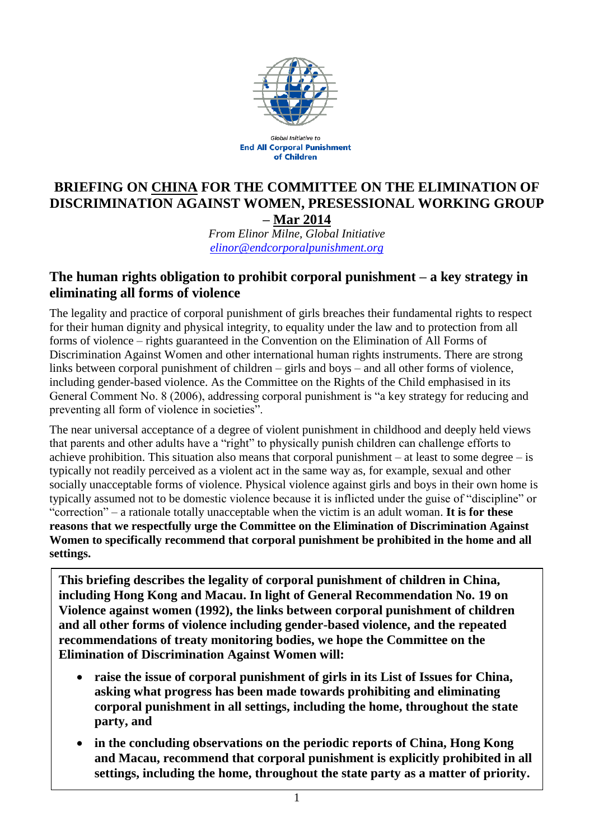

**Global Initiative to End All Corporal Punishment** of Children

#### **BRIEFING ON CHINA FOR THE COMMITTEE ON THE ELIMINATION OF DISCRIMINATION AGAINST WOMEN, PRESESSIONAL WORKING GROUP – Mar 2014**

*From Elinor Milne, Global Initiative [elinor@endcorporalpunishment.org](mailto:elinor@endcorporalpunishment.org)*

## **The human rights obligation to prohibit corporal punishment – a key strategy in eliminating all forms of violence**

The legality and practice of corporal punishment of girls breaches their fundamental rights to respect for their human dignity and physical integrity, to equality under the law and to protection from all forms of violence – rights guaranteed in the Convention on the Elimination of All Forms of Discrimination Against Women and other international human rights instruments. There are strong links between corporal punishment of children – girls and boys – and all other forms of violence, including gender-based violence. As the Committee on the Rights of the Child emphasised in its General Comment No. 8 (2006), addressing corporal punishment is "a key strategy for reducing and preventing all form of violence in societies".

The near universal acceptance of a degree of violent punishment in childhood and deeply held views that parents and other adults have a "right" to physically punish children can challenge efforts to achieve prohibition. This situation also means that corporal punishment – at least to some degree – is typically not readily perceived as a violent act in the same way as, for example, sexual and other socially unacceptable forms of violence. Physical violence against girls and boys in their own home is typically assumed not to be domestic violence because it is inflicted under the guise of "discipline" or "correction" – a rationale totally unacceptable when the victim is an adult woman. **It is for these reasons that we respectfully urge the Committee on the Elimination of Discrimination Against Women to specifically recommend that corporal punishment be prohibited in the home and all settings.**

**This briefing describes the legality of corporal punishment of children in China, including Hong Kong and Macau. In light of General Recommendation No. 19 on Violence against women (1992), the links between corporal punishment of children and all other forms of violence including gender-based violence, and the repeated recommendations of treaty monitoring bodies, we hope the Committee on the Elimination of Discrimination Against Women will:**

- **raise the issue of corporal punishment of girls in its List of Issues for China, asking what progress has been made towards prohibiting and eliminating corporal punishment in all settings, including the home, throughout the state party, and**
- **in the concluding observations on the periodic reports of China, Hong Kong and Macau, recommend that corporal punishment is explicitly prohibited in all settings, including the home, throughout the state party as a matter of priority.**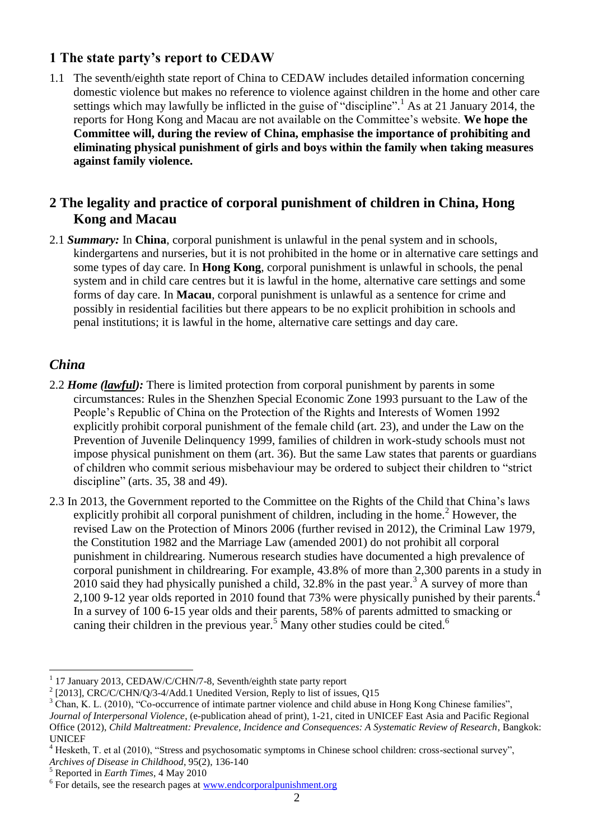## **1 The state party's report to CEDAW**

1.1 The seventh/eighth state report of China to CEDAW includes detailed information concerning domestic violence but makes no reference to violence against children in the home and other care settings which may lawfully be inflicted in the guise of "discipline".<sup>1</sup> As at 21 January 2014, the reports for Hong Kong and Macau are not available on the Committee's website. **We hope the Committee will, during the review of China, emphasise the importance of prohibiting and eliminating physical punishment of girls and boys within the family when taking measures against family violence.**

## **2 The legality and practice of corporal punishment of children in China, Hong Kong and Macau**

2.1 *Summary:* In **China**, corporal punishment is unlawful in the penal system and in schools, kindergartens and nurseries, but it is not prohibited in the home or in alternative care settings and some types of day care. In **Hong Kong**, corporal punishment is unlawful in schools, the penal system and in child care centres but it is lawful in the home, alternative care settings and some forms of day care. In **Macau**, corporal punishment is unlawful as a sentence for crime and possibly in residential facilities but there appears to be no explicit prohibition in schools and penal institutions; it is lawful in the home, alternative care settings and day care.

### *China*

 $\overline{a}$ 

- 2.2 *Home (lawful):* There is limited protection from corporal punishment by parents in some circumstances: Rules in the Shenzhen Special Economic Zone 1993 pursuant to the Law of the People's Republic of China on the Protection of the Rights and Interests of Women 1992 explicitly prohibit corporal punishment of the female child (art. 23), and under the Law on the Prevention of Juvenile Delinquency 1999, families of children in work-study schools must not impose physical punishment on them (art. 36). But the same Law states that parents or guardians of children who commit serious misbehaviour may be ordered to subject their children to "strict discipline" (arts. 35, 38 and 49).
- 2.3 In 2013, the Government reported to the Committee on the Rights of the Child that China's laws explicitly prohibit all corporal punishment of children, including in the home.<sup>2</sup> However, the revised Law on the Protection of Minors 2006 (further revised in 2012), the Criminal Law 1979, the Constitution 1982 and the Marriage Law (amended 2001) do not prohibit all corporal punishment in childrearing. Numerous research studies have documented a high prevalence of corporal punishment in childrearing. For example, 43.8% of more than 2,300 parents in a study in 2010 said they had physically punished a child,  $32.8\%$  in the past year.<sup>3</sup> A survey of more than 2,100 9-12 year olds reported in 2010 found that 73% were physically punished by their parents.<sup>4</sup> In a survey of 100 6-15 year olds and their parents, 58% of parents admitted to smacking or caning their children in the previous year.<sup>5</sup> Many other studies could be cited.<sup>6</sup>

<sup>1</sup> 17 January 2013, CEDAW/C/CHN/7-8, Seventh/eighth state party report

<sup>&</sup>lt;sup>2</sup> [2013], CRC/C/CHN/Q/3-4/Add.1 Unedited Version, Reply to list of issues, Q15

<sup>&</sup>lt;sup>3</sup> Chan, K. L. (2010), "Co-occurrence of intimate partner violence and child abuse in Hong Kong Chinese families",

*Journal of Interpersonal Violence*, (e-publication ahead of print), 1-21, cited in UNICEF East Asia and Pacific Regional Office (2012), *Child Maltreatment: Prevalence, Incidence and Consequences: A Systematic Review of Research*, Bangkok: UNICEF

<sup>&</sup>lt;sup>4</sup> Hesketh, T. et al (2010), "Stress and psychosomatic symptoms in Chinese school children: cross-sectional survey",

*Archives of Disease in Childhood*, 95(2), 136-140

<sup>5</sup> Reported in *Earth Times*, 4 May 2010

<sup>&</sup>lt;sup>6</sup> For details, see the research pages at [www.endcorporalpunishment.org](http://www.endcorporalpunishment.org/)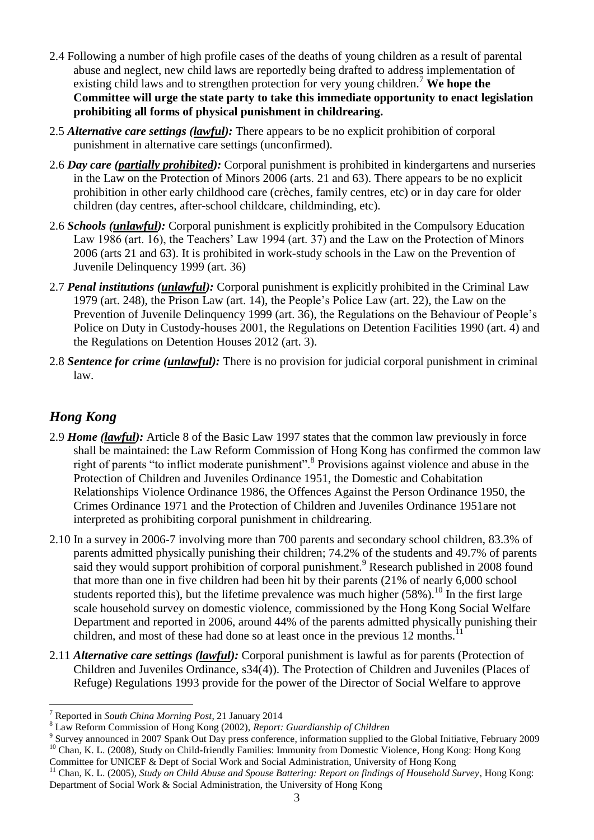- 2.4 Following a number of high profile cases of the deaths of young children as a result of parental abuse and neglect, new child laws are reportedly being drafted to address implementation of existing child laws and to strengthen protection for very young children.<sup>7</sup> **We hope the Committee will urge the state party to take this immediate opportunity to enact legislation prohibiting all forms of physical punishment in childrearing.**
- 2.5 *Alternative care settings (lawful):* There appears to be no explicit prohibition of corporal punishment in alternative care settings (unconfirmed).
- 2.6 *Day care (partially prohibited):* Corporal punishment is prohibited in kindergartens and nurseries in the Law on the Protection of Minors 2006 (arts. 21 and 63). There appears to be no explicit prohibition in other early childhood care (crèches, family centres, etc) or in day care for older children (day centres, after-school childcare, childminding, etc).
- 2.6 *Schools (unlawful):* Corporal punishment is explicitly prohibited in the Compulsory Education Law 1986 (art. 16), the Teachers' Law 1994 (art. 37) and the Law on the Protection of Minors 2006 (arts 21 and 63). It is prohibited in work-study schools in the Law on the Prevention of Juvenile Delinquency 1999 (art. 36)
- 2.7 *Penal institutions (unlawful):* Corporal punishment is explicitly prohibited in the Criminal Law 1979 (art. 248), the Prison Law (art. 14), the People's Police Law (art. 22), the Law on the Prevention of Juvenile Delinquency 1999 (art. 36), the Regulations on the Behaviour of People's Police on Duty in Custody-houses 2001, the Regulations on Detention Facilities 1990 (art. 4) and the Regulations on Detention Houses 2012 (art. 3).
- 2.8 *Sentence for crime (unlawful):* There is no provision for judicial corporal punishment in criminal law.

# *Hong Kong*

 $\overline{a}$ 

- 2.9 *Home (lawful):* Article 8 of the Basic Law 1997 states that the common law previously in force shall be maintained: the Law Reform Commission of Hong Kong has confirmed the common law right of parents "to inflict moderate punishment".<sup>8</sup> Provisions against violence and abuse in the Protection of Children and Juveniles Ordinance 1951, the Domestic and Cohabitation Relationships Violence Ordinance 1986, the Offences Against the Person Ordinance 1950, the Crimes Ordinance 1971 and the Protection of Children and Juveniles Ordinance 1951are not interpreted as prohibiting corporal punishment in childrearing.
- 2.10 In a survey in 2006-7 involving more than 700 parents and secondary school children, 83.3% of parents admitted physically punishing their children; 74.2% of the students and 49.7% of parents said they would support prohibition of corporal punishment.<sup>9</sup> Research published in 2008 found that more than one in five children had been hit by their parents (21% of nearly 6,000 school students reported this), but the lifetime prevalence was much higher  $(58%)$ .<sup>10</sup> In the first large scale household survey on domestic violence, commissioned by the Hong Kong Social Welfare Department and reported in 2006, around 44% of the parents admitted physically punishing their children, and most of these had done so at least once in the previous 12 months.
- 2.11 *Alternative care settings (lawful):* Corporal punishment is lawful as for parents (Protection of Children and Juveniles Ordinance, s34(4)). The Protection of Children and Juveniles (Places of Refuge) Regulations 1993 provide for the power of the Director of Social Welfare to approve

Committee for UNICEF & Dept of Social Work and Social Administration, University of Hong Kong

<sup>7</sup> Reported in *South China Morning Post*, 21 January 2014

<sup>8</sup> Law Reform Commission of Hong Kong (2002), *Report: Guardianship of Children*

<sup>9</sup> Survey announced in 2007 Spank Out Day press conference, information supplied to the Global Initiative, February 2009 <sup>10</sup> Chan, K. L. (2008), Study on Child-friendly Families: Immunity from Domestic Violence, Hong Kong: Hong Kong

<sup>&</sup>lt;sup>11</sup> Chan, K. L. (2005), *Study on Child Abuse and Spouse Battering: Report on findings of Household Survey*, Hong Kong: Department of Social Work & Social Administration, the University of Hong Kong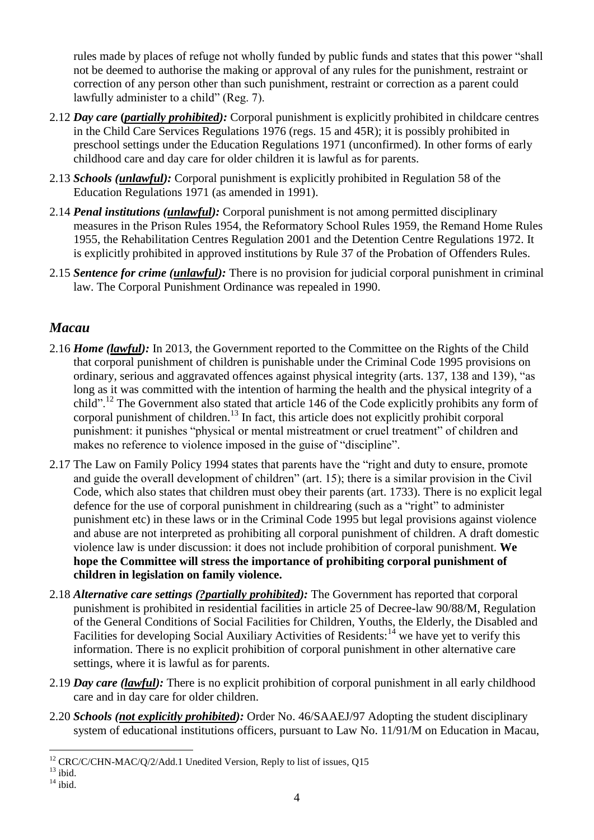rules made by places of refuge not wholly funded by public funds and states that this power "shall not be deemed to authorise the making or approval of any rules for the punishment, restraint or correction of any person other than such punishment, restraint or correction as a parent could lawfully administer to a child" (Reg. 7).

- 2.12 *Day care* **(***partially prohibited):* Corporal punishment is explicitly prohibited in childcare centres in the Child Care Services Regulations 1976 (regs. 15 and 45R); it is possibly prohibited in preschool settings under the Education Regulations 1971 (unconfirmed). In other forms of early childhood care and day care for older children it is lawful as for parents.
- 2.13 *Schools (unlawful):* Corporal punishment is explicitly prohibited in Regulation 58 of the Education Regulations 1971 (as amended in 1991).
- 2.14 *Penal institutions (unlawful):* Corporal punishment is not among permitted disciplinary measures in the Prison Rules 1954, the Reformatory School Rules 1959, the Remand Home Rules 1955, the Rehabilitation Centres Regulation 2001 and the Detention Centre Regulations 1972. It is explicitly prohibited in approved institutions by Rule 37 of the Probation of Offenders Rules.
- 2.15 *Sentence for crime (unlawful):* There is no provision for judicial corporal punishment in criminal law. The Corporal Punishment Ordinance was repealed in 1990.

## *Macau*

- 2.16 *Home (lawful):* In 2013, the Government reported to the Committee on the Rights of the Child that corporal punishment of children is punishable under the Criminal Code 1995 provisions on ordinary, serious and aggravated offences against physical integrity (arts. 137, 138 and 139), "as long as it was committed with the intention of harming the health and the physical integrity of a child".<sup>12</sup> The Government also stated that article 146 of the Code explicitly prohibits any form of corporal punishment of children.<sup>13</sup> In fact, this article does not explicitly prohibit corporal punishment: it punishes "physical or mental mistreatment or cruel treatment" of children and makes no reference to violence imposed in the guise of "discipline".
- 2.17 The Law on Family Policy 1994 states that parents have the "right and duty to ensure, promote and guide the overall development of children" (art. 15); there is a similar provision in the Civil Code, which also states that children must obey their parents (art. 1733). There is no explicit legal defence for the use of corporal punishment in childrearing (such as a "right" to administer punishment etc) in these laws or in the Criminal Code 1995 but legal provisions against violence and abuse are not interpreted as prohibiting all corporal punishment of children. A draft domestic violence law is under discussion: it does not include prohibition of corporal punishment. **We hope the Committee will stress the importance of prohibiting corporal punishment of children in legislation on family violence.**
- 2.18 *Alternative care settings (?partially prohibited):* The Government has reported that corporal punishment is prohibited in residential facilities in article 25 of Decree-law 90/88/M, Regulation of the General Conditions of Social Facilities for Children, Youths, the Elderly, the Disabled and Facilities for developing Social Auxiliary Activities of Residents:<sup>14</sup> we have yet to verify this information. There is no explicit prohibition of corporal punishment in other alternative care settings, where it is lawful as for parents.
- 2.19 *Day care (lawful):* There is no explicit prohibition of corporal punishment in all early childhood care and in day care for older children.
- 2.20 *Schools (not explicitly prohibited):* Order No. 46/SAAEJ/97 Adopting the student disciplinary system of educational institutions officers, pursuant to Law No. 11/91/M on Education in Macau,

 $\overline{a}$  $12$  CRC/C/CHN-MAC/Q/2/Add.1 Unedited Version, Reply to list of issues, Q15  $^{13}$  ibid.

 $14 \overline{\text{ihid}}$ .